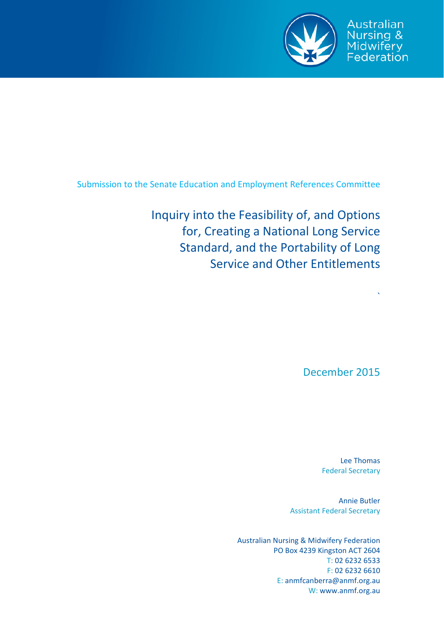

Australian Nursing & Midwifery<br>Federation

Submission to the Senate Education and Employment References Committee

Inquiry into the Feasibility of, and Options for, Creating a National Long Service Standard, and the Portability of Long Service and Other Entitlements

December 2015

`

Lee Thomas Federal Secretary

Annie Butler Assistant Federal Secretary

Australian Nursing & Midwifery Federation PO Box 4239 Kingston ACT 2604 T: 02 6232 6533 F: 02 6232 6610 E: anmfcanberra@anmf.org.au W: www.anmf.org.au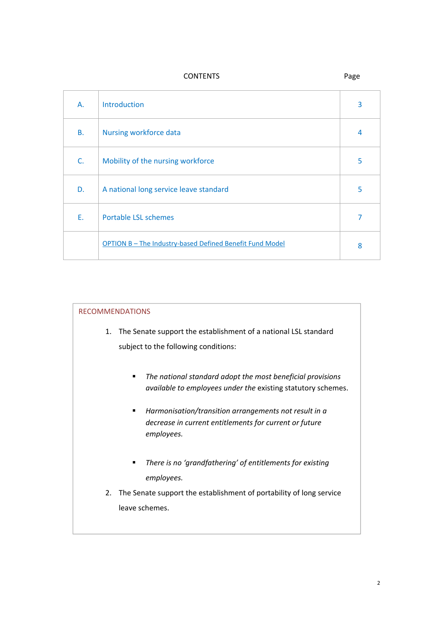CONTENTS Page

| A.        | Introduction                                             | 3 |
|-----------|----------------------------------------------------------|---|
| <b>B.</b> | Nursing workforce data                                   | 4 |
| C.        | Mobility of the nursing workforce                        | 5 |
| D.        | A national long service leave standard                   | 5 |
| Ε.        | <b>Portable LSL schemes</b>                              | 7 |
|           | OPTION B - The Industry-based Defined Benefit Fund Model | 8 |

### RECOMMENDATIONS

- 1. The Senate support the establishment of a national LSL standard subject to the following conditions:
	- *The national standard adopt the most beneficial provisions available to employees under the* existing statutory schemes.
	- *Harmonisation/transition arrangements not result in a decrease in current entitlements for current or future employees.*
	- *There is no 'grandfathering' of entitlements for existing employees.*
- 2. The Senate support the establishment of portability of long service leave schemes.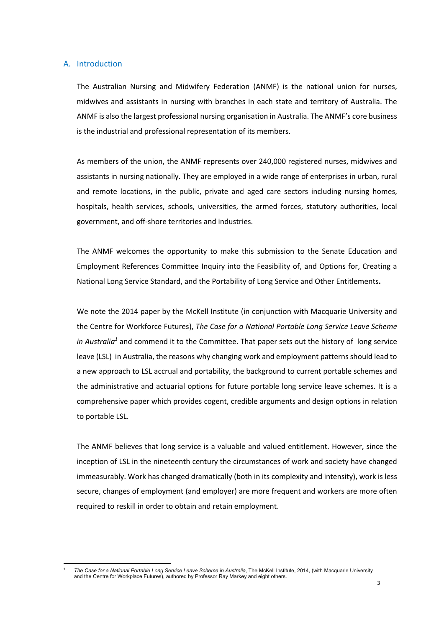#### A. Introduction

The Australian Nursing and Midwifery Federation (ANMF) is the national union for nurses, midwives and assistants in nursing with branches in each state and territory of Australia. The ANMF is also the largest professional nursing organisation in Australia. The ANMF's core business is the industrial and professional representation of its members.

As members of the union, the ANMF represents over 240,000 registered nurses, midwives and assistants in nursing nationally. They are employed in a wide range of enterprises in urban, rural and remote locations, in the public, private and aged care sectors including nursing homes, hospitals, health services, schools, universities, the armed forces, statutory authorities, local government, and off‐shore territories and industries.

The ANMF welcomes the opportunity to make this submission to the Senate Education and Employment References Committee Inquiry into the Feasibility of, and Options for, Creating a National Long Service Standard, and the Portability of Long Service and Other Entitlements**.** 

We note the 2014 paper by the McKell Institute (in conjunction with Macquarie University and the Centre for Workforce Futures), *The Case for a National Portable Long Service Leave Scheme in Australia<sup>1</sup>* and commend it to the Committee. That paper sets out the history of long service leave (LSL) in Australia, the reasons why changing work and employment patterns should lead to a new approach to LSL accrual and portability, the background to current portable schemes and the administrative and actuarial options for future portable long service leave schemes. It is a comprehensive paper which provides cogent, credible arguments and design options in relation to portable LSL.

The ANMF believes that long service is a valuable and valued entitlement. However, since the inception of LSL in the nineteenth century the circumstances of work and society have changed immeasurably. Work has changed dramatically (both in its complexity and intensity), work is less secure, changes of employment (and employer) are more frequent and workers are more often required to reskill in order to obtain and retain employment.

 1 *The Case for a National Portable Long Service Leave Scheme in Australia*, The McKell Institute, 2014, (with Macquarie University and the Centre for Workplace Futures), authored by Professor Ray Markey and eight others.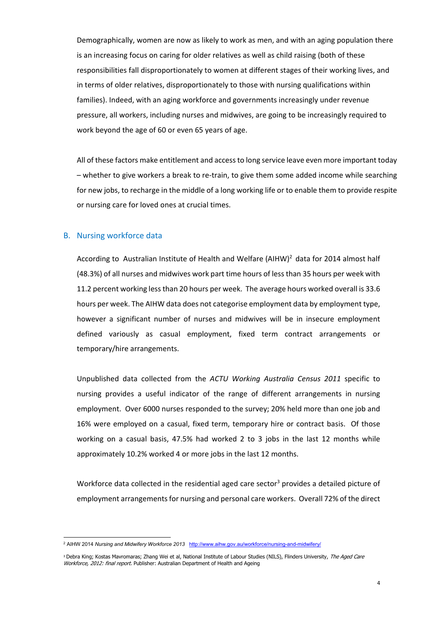Demographically, women are now as likely to work as men, and with an aging population there is an increasing focus on caring for older relatives as well as child raising (both of these responsibilities fall disproportionately to women at different stages of their working lives, and in terms of older relatives, disproportionately to those with nursing qualifications within families). Indeed, with an aging workforce and governments increasingly under revenue pressure, all workers, including nurses and midwives, are going to be increasingly required to work beyond the age of 60 or even 65 years of age.

All of these factors make entitlement and accessto long service leave even more important today – whether to give workers a break to re‐train, to give them some added income while searching for new jobs, to recharge in the middle of a long working life or to enable them to provide respite or nursing care for loved ones at crucial times.

### B. Nursing workforce data

According to Australian Institute of Health and Welfare (AIHW)<sup>2</sup> data for 2014 almost half (48.3%) of all nurses and midwives work part time hours of lessthan 35 hours per week with 11.2 percent working lessthan 20 hours per week. The average hours worked overall is 33.6 hours per week. The AIHW data does not categorise employment data by employment type, however a significant number of nurses and midwives will be in insecure employment defined variously as casual employment, fixed term contract arrangements or temporary/hire arrangements.

Unpublished data collected from the *ACTU Working Australia Census 2011* specific to nursing provides a useful indicator of the range of different arrangements in nursing employment. Over 6000 nurses responded to the survey; 20% held more than one job and 16% were employed on a casual, fixed term, temporary hire or contract basis. Of those working on a casual basis, 47.5% had worked 2 to 3 jobs in the last 12 months while approximately 10.2% worked 4 or more jobs in the last 12 months.

Workforce data collected in the residential aged care sector<sup>3</sup> provides a detailed picture of employment arrangements for nursing and personal care workers. Overall 72% of the direct

<sup>2</sup> AIHW 2014 *Nursing and Midwifery Workforce 2013* http://www.aihw.gov.au/workforce/nursing-and-midwifery/

<sup>&</sup>lt;sup>3</sup> Debra King; Kostas Mavromaras; Zhang Wei et al, National Institute of Labour Studies (NILS), Flinders University, *The Aged Care* Workforce, 2012: final report. Publisher: Australian Department of Health and Ageing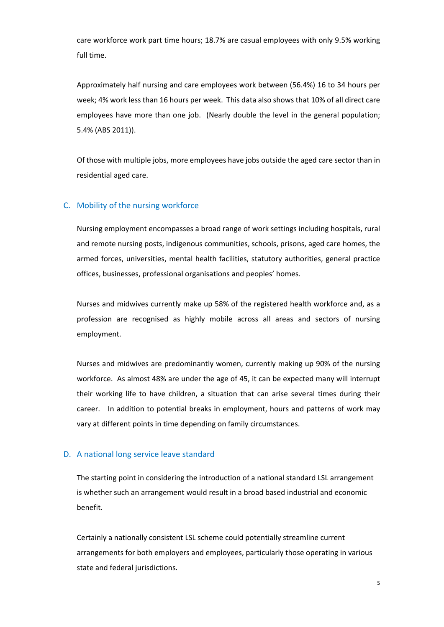care workforce work part time hours; 18.7% are casual employees with only 9.5% working full time.

Approximately half nursing and care employees work between (56.4%) 16 to 34 hours per week; 4% work less than 16 hours per week. This data also shows that 10% of all direct care employees have more than one job. (Nearly double the level in the general population; 5.4% (ABS 2011)).

Of those with multiple jobs, more employees have jobs outside the aged care sector than in residential aged care.

# C. Mobility of the nursing workforce

Nursing employment encompasses a broad range of work settings including hospitals, rural and remote nursing posts, indigenous communities, schools, prisons, aged care homes, the armed forces, universities, mental health facilities, statutory authorities, general practice offices, businesses, professional organisations and peoples' homes.

Nurses and midwives currently make up 58% of the registered health workforce and, as a profession are recognised as highly mobile across all areas and sectors of nursing employment.

Nurses and midwives are predominantly women, currently making up 90% of the nursing workforce. As almost 48% are under the age of 45, it can be expected many will interrupt their working life to have children, a situation that can arise several times during their career. In addition to potential breaks in employment, hours and patterns of work may vary at different points in time depending on family circumstances.

# D. A national long service leave standard

The starting point in considering the introduction of a national standard LSL arrangement is whether such an arrangement would result in a broad based industrial and economic benefit.

Certainly a nationally consistent LSL scheme could potentially streamline current arrangements for both employers and employees, particularly those operating in various state and federal jurisdictions.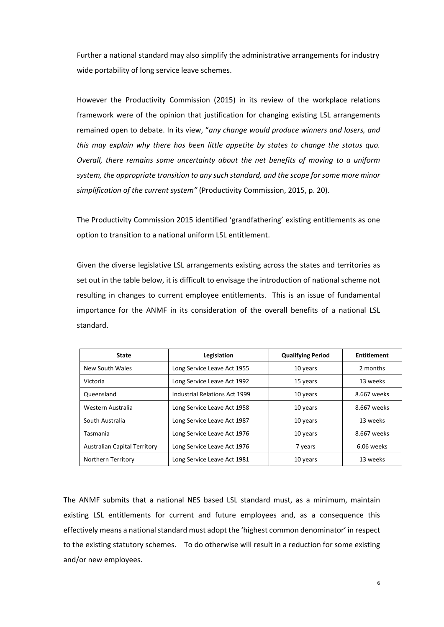Further a national standard may also simplify the administrative arrangements for industry wide portability of long service leave schemes.

However the Productivity Commission (2015) in its review of the workplace relations framework were of the opinion that justification for changing existing LSL arrangements remained open to debate. In its view, "*any change would produce winners and losers, and this may explain why there has been little appetite by states to change the status quo. Overall, there remains some uncertainty about the net benefits of moving to a uniform system, the appropriate transition to any such standard, and the scope for some more minor simplification of the current system"* (Productivity Commission, 2015, p. 20).

The Productivity Commission 2015 identified 'grandfathering' existing entitlements as one option to transition to a national uniform LSL entitlement.

Given the diverse legislative LSL arrangements existing across the states and territories as set out in the table below, it is difficult to envisage the introduction of national scheme not resulting in changes to current employee entitlements. This is an issue of fundamental importance for the ANMF in its consideration of the overall benefits of a national LSL standard.

| <b>State</b>                        | Legislation                   | <b>Qualifying Period</b> | Entitlement |
|-------------------------------------|-------------------------------|--------------------------|-------------|
| New South Wales                     | Long Service Leave Act 1955   | 10 years                 | 2 months    |
| Victoria                            | Long Service Leave Act 1992   | 15 years                 | 13 weeks    |
| Queensland                          | Industrial Relations Act 1999 | 10 years                 | 8.667 weeks |
| Western Australia                   | Long Service Leave Act 1958   | 10 years                 | 8.667 weeks |
| South Australia                     | Long Service Leave Act 1987   | 10 years                 | 13 weeks    |
| Tasmania                            | Long Service Leave Act 1976   | 10 years                 | 8.667 weeks |
| <b>Australian Capital Territory</b> | Long Service Leave Act 1976   | 7 years                  | 6.06 weeks  |
| Northern Territory                  | Long Service Leave Act 1981   | 10 years                 | 13 weeks    |

The ANMF submits that a national NES based LSL standard must, as a minimum, maintain existing LSL entitlements for current and future employees and, as a consequence this effectively means a national standard must adopt the 'highest common denominator' in respect to the existing statutory schemes. To do otherwise will result in a reduction for some existing and/or new employees.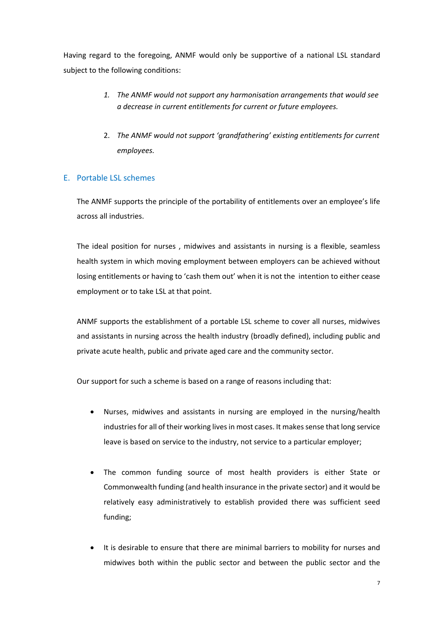Having regard to the foregoing, ANMF would only be supportive of a national LSL standard subject to the following conditions:

- *1. The ANMF would not support any harmonisation arrangements that would see a decrease in current entitlements for current or future employees.*
- 2. *The ANMF would not support 'grandfathering' existing entitlements for current employees.*

# E. Portable LSL schemes

The ANMF supports the principle of the portability of entitlements over an employee's life across all industries.

The ideal position for nurses , midwives and assistants in nursing is a flexible, seamless health system in which moving employment between employers can be achieved without losing entitlements or having to 'cash them out' when it is not the intention to either cease employment or to take LSL at that point.

ANMF supports the establishment of a portable LSL scheme to cover all nurses, midwives and assistants in nursing across the health industry (broadly defined), including public and private acute health, public and private aged care and the community sector.

Our support for such a scheme is based on a range of reasons including that:

- Nurses, midwives and assistants in nursing are employed in the nursing/health industries for all of their working lives in most cases. It makes sense that long service leave is based on service to the industry, not service to a particular employer;
- The common funding source of most health providers is either State or Commonwealth funding (and health insurance in the private sector) and it would be relatively easy administratively to establish provided there was sufficient seed funding;
- It is desirable to ensure that there are minimal barriers to mobility for nurses and midwives both within the public sector and between the public sector and the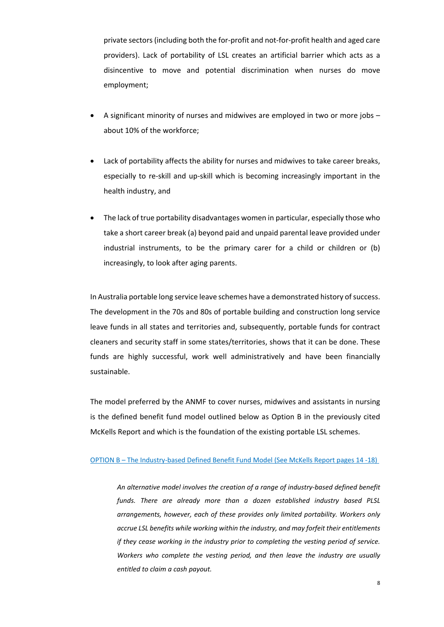private sectors(including both the for‐profit and not‐for‐profit health and aged care providers). Lack of portability of LSL creates an artificial barrier which acts as a disincentive to move and potential discrimination when nurses do move employment;

- A significant minority of nurses and midwives are employed in two or more jobs about 10% of the workforce;
- Lack of portability affects the ability for nurses and midwives to take career breaks, especially to re‐skill and up‐skill which is becoming increasingly important in the health industry, and
- The lack of true portability disadvantages women in particular, especially those who take a short career break (a) beyond paid and unpaid parental leave provided under industrial instruments, to be the primary carer for a child or children or (b) increasingly, to look after aging parents.

In Australia portable long service leave schemes have a demonstrated history of success. The development in the 70s and 80s of portable building and construction long service leave funds in all states and territories and, subsequently, portable funds for contract cleaners and security staff in some states/territories, shows that it can be done. These funds are highly successful, work well administratively and have been financially sustainable.

The model preferred by the ANMF to cover nurses, midwives and assistants in nursing is the defined benefit fund model outlined below as Option B in the previously cited McKells Report and which is the foundation of the existing portable LSL schemes.

#### OPTION B – The Industry‐based Defined Benefit Fund Model (See McKells Report pages 14 ‐18)

*An alternative model involves the creation of a range of industry‐based defined benefit funds. There are already more than a dozen established industry based PLSL arrangements, however, each of these provides only limited portability. Workers only accrue LSL benefits while working within the industry, and may forfeit their entitlements if they cease working in the industry prior to completing the vesting period of service. Workers who complete the vesting period, and then leave the industry are usually entitled to claim a cash payout.*